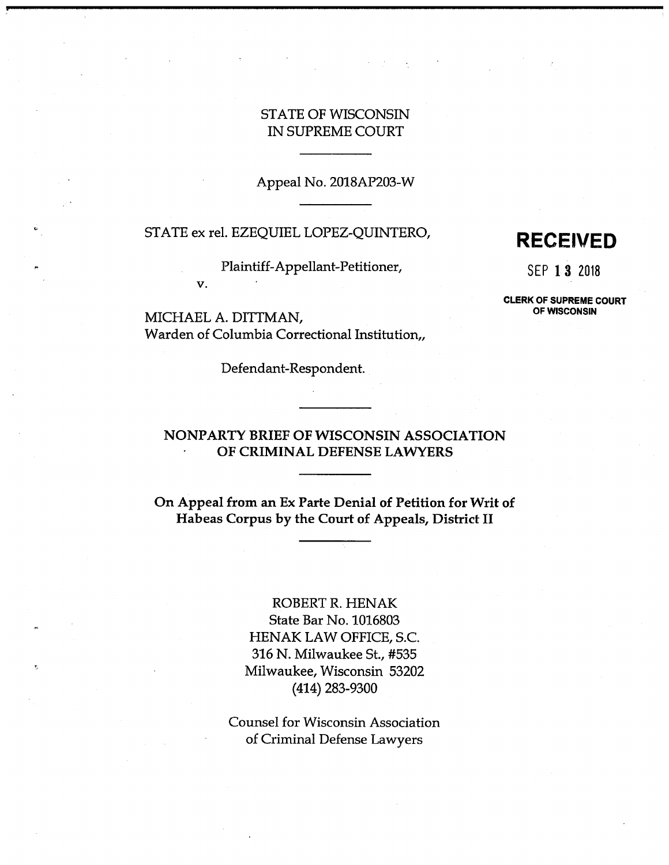# STATE OF WISCONSIN IN SUPREME COURT

Appeal No. 2018AP203-W

# STATE ex rel. EZEQUIEL LOPEZ-QUINTERO, **RECEIVED**

Plaintiff-Appellant-Petitioner, SEP 13 2018

# **OF WISCONSIN** MICHAEL A. DITTMAN, Warden of Columbia Correctional Institution,,

**v.**

Defendant-Respondent.

**CLERK OF SUPREME COURT**

# **NONPARTY BRIEF OF WISCONSIN ASSOCIATION OF CRIMINAL DEFENSE LAWYERS**

**On Appeal from an Ex Parte Denial of Petition for Writ of Habeas Corpus by the Court of Appeals, District II**

> ROBERT R. HENAK State Bar No. 1016803 HENAK LAW OFFICE, S.C. 316 N. Milwaukee St., #535 Milwaukee, Wisconsin 53202 (414) 283-9300

Counsel for Wisconsin Association of Criminal Defense Lawyers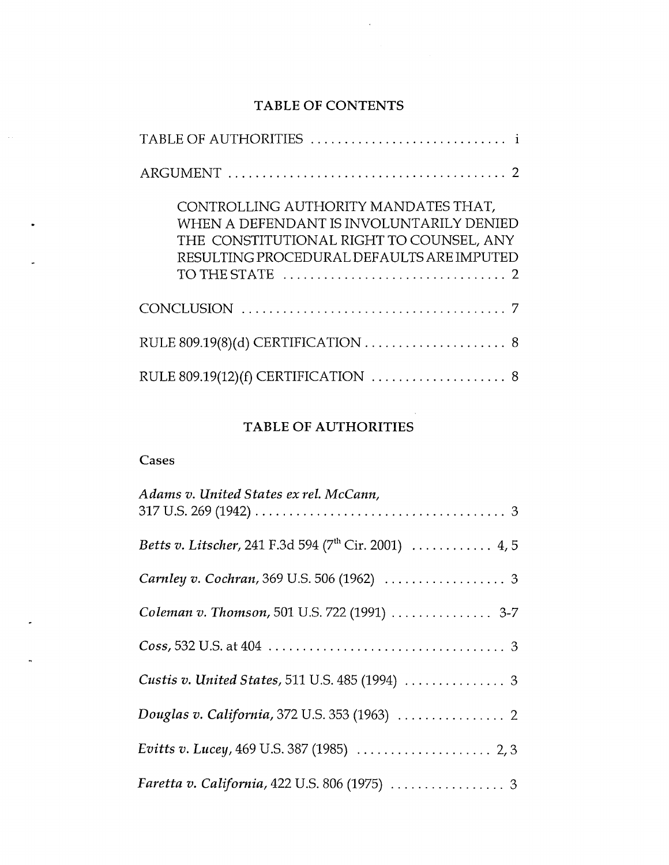# TABLE OF CONTENTS

 $\bar{A}$ 

| CONTROLLING AUTHORITY MANDATES THAT,<br>WHEN A DEFENDANT IS INVOLUNTARILY DENIED<br>THE CONSTITUTIONAL RIGHT TO COUNSEL, ANY<br>RESULTING PROCEDURAL DEFAULTS ARE IMPUTED |
|---------------------------------------------------------------------------------------------------------------------------------------------------------------------------|
|                                                                                                                                                                           |
|                                                                                                                                                                           |
| RULE 809.19(12)(f) CERTIFICATION  8                                                                                                                                       |

# TABLE OF AUTHORITIES

# Cases

 $\sim$ 

 $\bullet$ 

 $\ddot{\phantom{1}}$ 

 $\overline{a}$ 

| Adams v. United States ex rel. McCann,                                    |
|---------------------------------------------------------------------------|
| <i>Betts v. Litscher,</i> 241 F.3d 594 ( $7^{\text{th}}$ Cir. 2001)  4, 5 |
|                                                                           |
| Coleman v. Thomson, 501 U.S. 722 (1991)  3-7                              |
|                                                                           |
|                                                                           |
|                                                                           |
|                                                                           |
|                                                                           |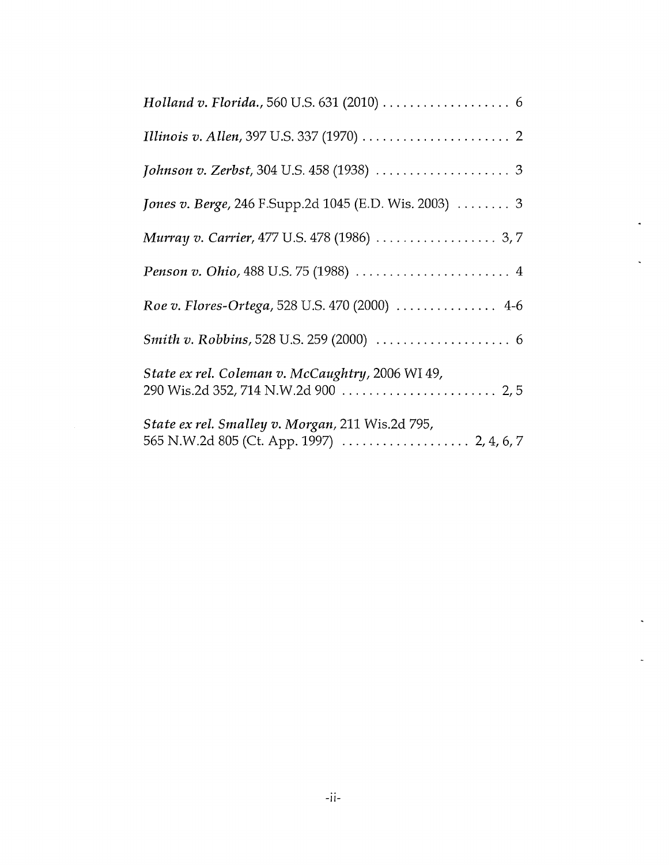| Jones v. Berge, 246 F.Supp.2d 1045 (E.D. Wis. 2003)  3 |
|--------------------------------------------------------|
|                                                        |
|                                                        |
| Roe v. Flores-Ortega, 528 U.S. 470 (2000)  4-6         |
|                                                        |
| State ex rel. Coleman v. McCaughtry, 2006 WI 49,       |
| State ex rel. Smalley v. Morgan, 211 Wis.2d 795,       |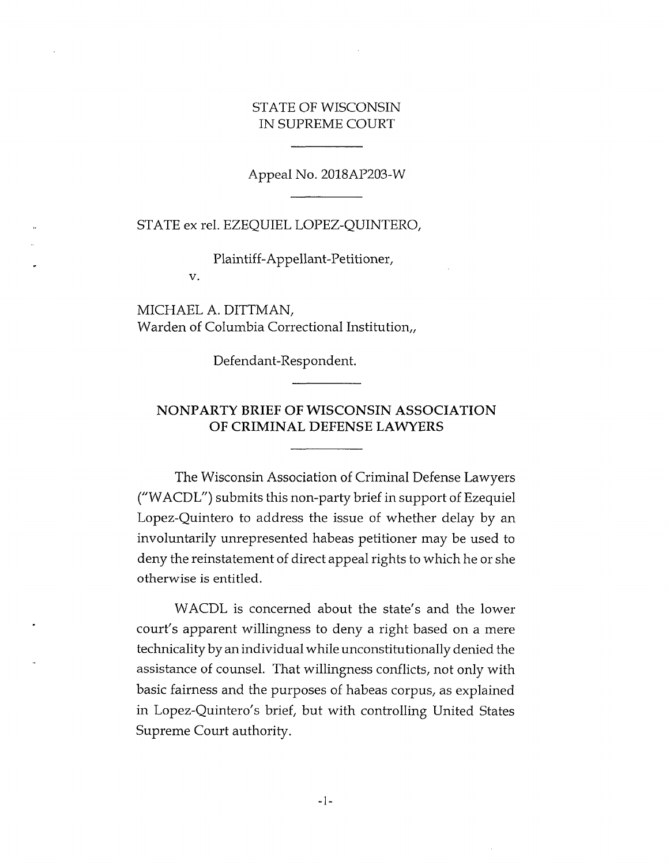## STATE OF WISCONSIN IN SUPREME COURT

Appeal No. 2018AP203-W

STATE ex rel. EZEQUIEL LOPEZ-QUINTERO,

Plaintiff-Appellant-Petitioner,

MICHAEL A. DITTMAN, Warden of Columbia Correctional Institution,,

v.

Defendant-Respondent.

# **NONPARTY BRIEF OF WISCONSIN ASSOCIATION OF CRIMINAL DEFENSE LAWYERS**

The Wisconsin Association of Criminal Defense Lawyers ("WACDL") submits this non-party brief in support of Ezequiel Lopez-Quintero to address the issue of whether delay by an involuntarily unrepresented habeas petitioner may be used to deny the reinstatement of direct appeal rights to which he or she otherwise is entitled.

WACDL is concerned about the state's and the lower court's apparent willingness to deny a right based on a mere technicality by an individual while unconstitutionally denied the assistance of counsel. That willingness conflicts, not only with basic fairness and the purposes of habeas corpus, as explained in Lopez-Quintero's brief, but with controlling United States Supreme Court authority.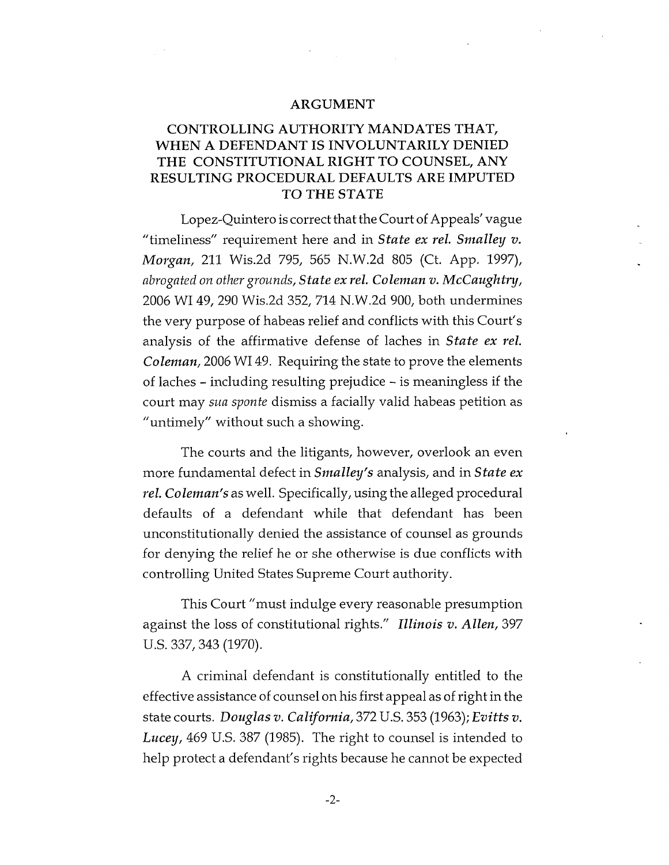#### **ARGUMENT**

# **CONTROLLING AUTHORITY MANDATES THAT, WHEN A DEFENDANT IS INVOLUNTARILY DENIED THE CONSTITUTIONAL RIGHT TO COUNSEL, ANY RESULTING PROCEDURAL DEFAULTS ARE IMPUTED TO THE STATE**

Lopez-Quintero is correct that the Court of Appeals' vague "timeliness" requirement here and in *State ex rel. Smalley v. Morgan,* 211 Wis.2d 795, 565 N.W.2d 805 (Ct. App. 1997), *abrogated on other grounds, State ex rel. Coleman v. McCaughtry,* 2006 WI 49, 290 Wis.2d 352, 714 N.W.2d 900, both undermines the very purpose of habeas relief and conflicts with this Court's analysis of the affirmative defense of laches in *State ex rel. Coleman,* 2006 WI 49. Requiring the state to prove the elements of laches - including resulting prejudice - is meaningless if the court may *sua sponte* dismiss a facially valid habeas petition as "untimely" without such a showing.

The courts and the litigants, however, overlook an even more fundamental defect in *Smalley's* analysis, and in *State ex rel. Coleman's* as well. Specifically, using the alleged procedural defaults of a defendant while that defendant has been unconstitutionally denied the assistance of counsel as grounds for denying the relief he or she otherwise is due conflicts with controlling United States Supreme Court authority.

This Court "must indulge every reasonable presumption against the loss of constitutional rights." *Illinois v. Allen,* 397 U.S. 337, 343 (1970).

A criminal defendant is constitutionally entitled to the effective assistance of counsel on his first appeal as of right in the state courts. *Douglas v. California,* 372 U.S. 353 (1963); *Evitts v. Lucey,* 469 U.S. 387 (1985). The right to counsel is intended to help protect a defendant's rights because he cannot be expected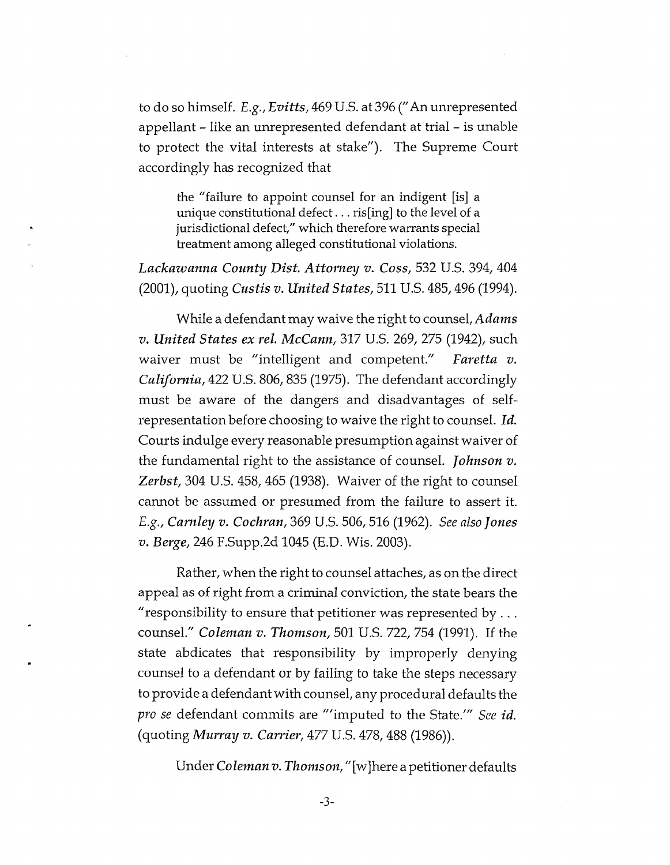to do so himself. *E.g., Evitts,* 469 U.S. at 396 ("An unrepresented appellant - like an unrepresented defendant at trial - is unable to protect the vital interests at stake"). The Supreme Court accordingly has recognized that

the "failure to appoint counsel for an indigent [is] a unique constitutional defect... ris[ing] to the level of <sup>a</sup> jurisdictional defect," which therefore warrants special treatment among alleged constitutional violations.

*Lackawanna County Dist. Attorney v. Coss,* 532 U.S. 394, 404 (2001), quoting *Custis v. United States,* 511 U.S. 485,496 (1994).

While a defendant may waive the right to counsel,*Adams v. United States ex rel. McCann,* 317 U.S. 269, 275 (1942), such waiver must be "intelligent and competent." *California,* 422 U.S. 806,835 (1975). The defendant accordingly must be aware of the dangers and disadvantages of selfrepresentation before choosing to waive the right to counsel. *Id.* Courts indulge every reasonable presumption against waiver of the fundamental right to the assistance of counsel. *Johnson v. Zerbst,* 304 U.S. 458, 465 (1938). Waiver of the right to counsel cannot be assumed or presumed from the failure to assert it. *E.g., Camley v. Cochran,* 369 U.S. 506, 516 (1962). *See also Jones v. Berge,* 246 F.Supp.2d 1045 (E.D. Wis. 2003). *Faretta v.*

Rather, when the right to counsel attaches, as on the direct appeal as of right from a criminal conviction, the state bears the "responsibility to ensure that petitioner was represented by  $\ldots$ counsel." *Coleman v. Thomson,* 501 U.S. 722, 754 (1991). If the state abdicates that responsibility by improperly denying counsel to a defendant or by failing to take the steps necessary to provide a defendantwith counsel, any procedural defaults the *pro se* defendant commits are "'imputed to the State.'" *See id.* (quoting *Murray v. Carrier,* 477 U.S. 478, 488 (1986)).

Under *Coleman v. Thomson,*"[wjhere a petitioner defaults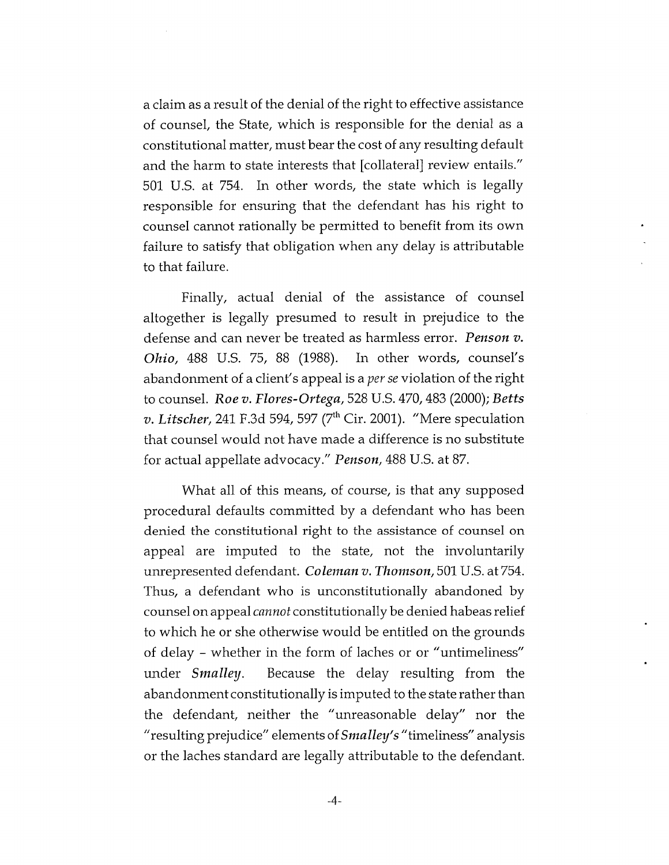a claim as a result of the denial of the right to effective assistance of counsel, the State, which is responsible for the denial as a constitutional matter, must bear the cost of any resulting default and the harm to state interests that [collateral] review entails." 501 U.S. at 754. In other words, the state which is legally responsible for ensuring that the defendant has his right to counsel cannot rationally be permitted to benefit from its own failure to satisfy that obligation when any delay is attributable to that failure.

Finally, actual denial of the assistance of counsel altogether is legally presumed to result in prejudice to the defense and can never be treated as harmless error. *Penson v. Ohio,* 488 U.S. 75, 88 (1988). In other words, counsel's abandonment of a client's appeal is a *per se* violation of the right to counsel. *Roe v. Flores-Ortega,* 528 U.S. 470,483 (2000); *Betts v. Litscher,* 241 F.3d 594, 597 (7th Cir. 2001). "Mere speculation that counsel would not have made a difference is no substitute for actual appellate advocacy." *Penson,* 488 U.S. at 87.

What all of this means, of course, is that any supposed procedural defaults committed by a defendant who has been denied the constitutional right to the assistance of counsel on appeal are imputed to the state, not the involuntarily unrepresented defendant. *Coleman v. Thomson,* 501 U.S. at 754. Thus, a defendant who is unconstitutionally abandoned by counsel on appeal *cannot* constitutionally be denied habeas relief to which he or she otherwise would be entitled on the grounds of delay - whether in the form of laches or or "untimeliness" under *Smalley.* Because the delay resulting from the abandonment constitutionally is imputed to the state rather than the defendant, neither the "unreasonable delay" nor the "resulting prejudice" elements of*Smalley's* "timeliness" analysis or the laches standard are legally attributable to the defendant.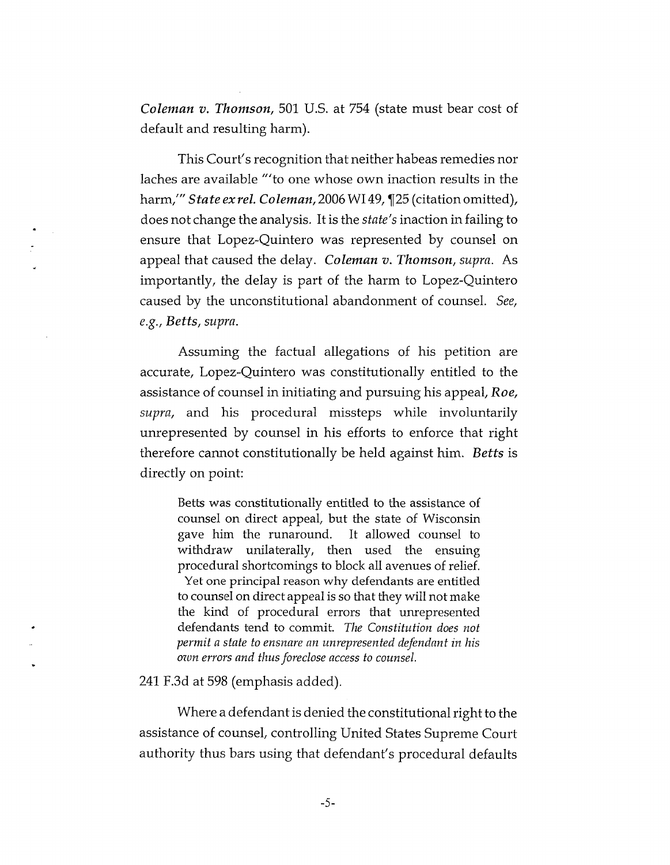*Coleman v. Thomson,* 501 U.S. at 754 (state must bear cost of default and resulting harm).

This Court's recognition that neither habeas remedies nor laches are available "'to one whose own inaction results in the harm," *State ex rel. Coleman,* 2006 WI 49, 125 (citation omitted), does not change the analysis. It is the *state's* inaction in failing to ensure that Lopez-Quintero was represented by counsel on appeal that caused the delay. *Coleman v. Thomson, supra.* As importantly, the delay is part of the harm to Lopez-Quintero caused by the unconstitutional abandonment of counsel. *See, e.g., Betts, supra.*

Assuming the factual allegations of his petition are accurate, Lopez-Quintero was constitutionally entitled to the assistance of counsel in initiating and pursuing his appeal. *Roe, supra,* and his procedural missteps while involuntarily unrepresented by counsel in his efforts to enforce that right therefore cannot constitutionally be held against him. *Betts* is directly on point:

Betts was constitutionally entitled to the assistance of counsel on direct appeal, but the state of Wisconsin gave him the runaround. It allowed counsel to withdraw unilaterally, then used the ensuing procedural shortcomings to block all avenues of relief. Yet one principal reason why defendants are entitled to counsel on direct appeal is so that they will not make the kind of procedural errors that unrepresented defendants tend to commit. *The Constitution does not permit a state to ensnare an unrepresented defendant in his own errors and thus foreclose access to counsel.*

241 F.3d at 598 (emphasis added).

 $\sim$ 

Where a defendant is denied the constitutional right to the assistance of counsel, controlling United States Supreme Court authority thus bars using that defendant's procedural defaults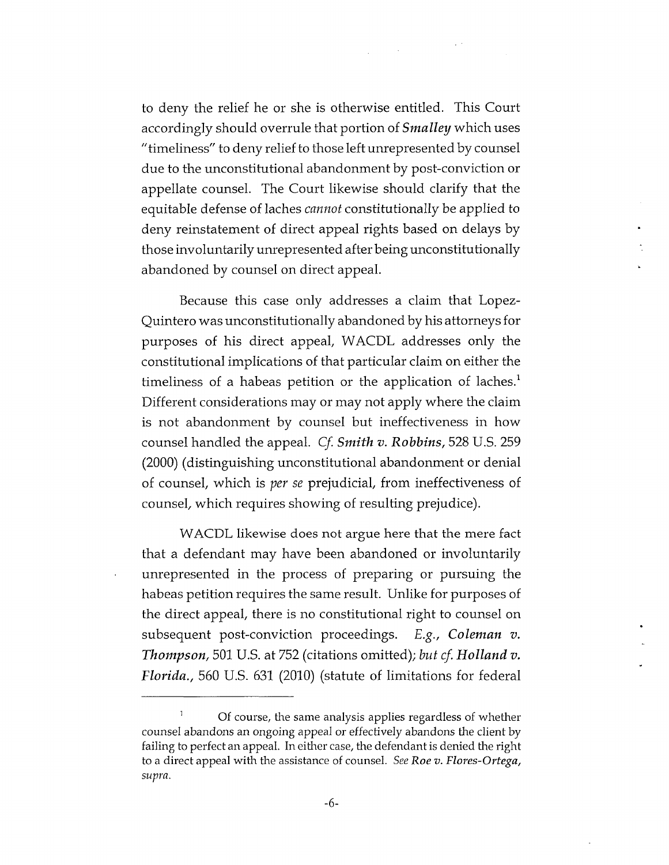to deny the relief he or she is otherwise entitled. This Court accordingly should overrule that portion of *Smalley* which uses "timeliness" to deny relief to those left unrepresented by counsel due to the unconstitutional abandonment by post-conviction or appellate counsel. The Court likewise should clarify that the equitable defense of laches *cannot* constitutionally be applied to deny reinstatement of direct appeal rights based on delays by those involuntarily unrepresented after being unconstitutionally abandoned by counsel on direct appeal.

Because this case only addresses a claim that Lopez-Quintero was unconstitutionally abandoned by his attorneys for purposes of his direct appeal, WACDL addresses only the constitutional implications of that particular claim on either the timeliness of a habeas petition or the application of laches.<sup>1</sup> Different considerations may or may not apply where the claim is not abandonment by counsel but ineffectiveness in how counsel handled the appeal. *Cf. Smith v. Robbins,* 528 U.S. 259 (2000) (distinguishing unconstitutional abandonment or denial of counsel, which is *per se* prejudicial, from ineffectiveness of counsel, which requires showing of resulting prejudice).

WACDL likewise does not argue here that the mere fact that a defendant may have been abandoned or involuntarily unrepresented in the process of preparing or pursuing the habeas petition requires the same result. Unlike for purposes of the direct appeal, there is no constitutional right to counsel on subsequent post-conviction proceedings. *E.g., Coleman v. Thompson,* 501 U.S. at 752 (citations omitted); *but cf. Holland v. Florida.,* 560 U.S. 631 (2010) (statute of limitations for federal

<sup>1</sup> Of course, the same analysis applies regardless of whether counsel abandons an ongoing appeal or effectively abandons the client by failing to perfect an appeal. In either case, the defendant is denied the right to a direct appeal with die assistance of counsel. *See Roe v. Flores-Ortega, supra.*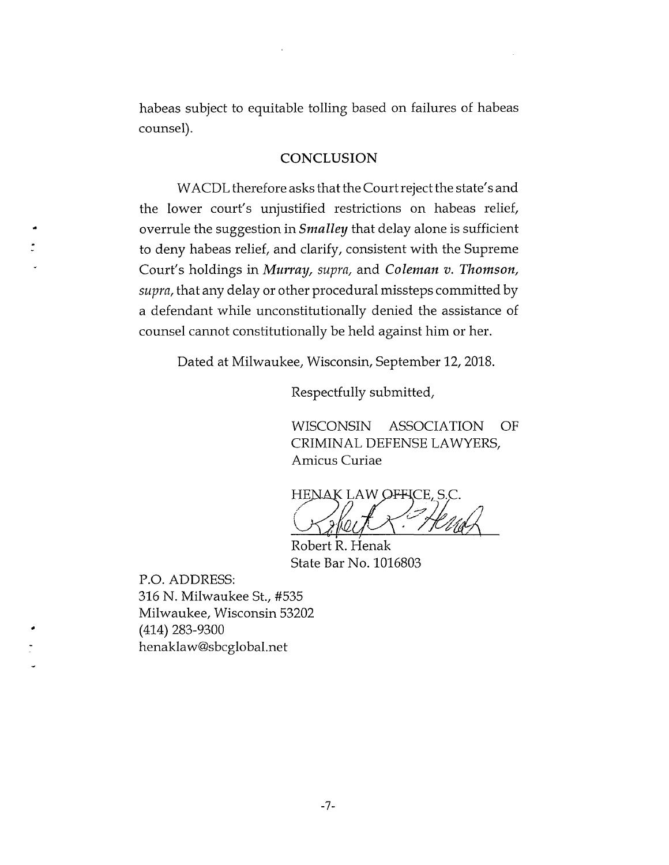habeas subject to equitable tolling based on failures of habeas counsel).

### **CONCLUSION**

WACDL therefore asks that the Court reject the state's and the lower court's unjustified restrictions on habeas relief, overrule the suggestion in *Smalley* that delay alone is sufficient to deny habeas relief, and clarify, consistent with the Supreme Court's holdings in *Muir ay, supra,* and *Coleman v. Thomson, supra,* that any delay or other procedural missteps committed by a defendant while unconstitutionally denied the assistance of counsel cannot constitutionally be held against him or her.

Dated at Milwaukee, Wisconsin, September 12, 2018.

Respectfully submitted.

WISCONSIN ASSOCIATION OF CRIMINAL DEFENSE LAWYERS, Amicus Curiae

HENAK LAW OFFICE, S.C. **/\*** *K*

Robert R. Henak State Bar No. 1016803

P.O. ADDRESS: 316 N. Milwaukee St., #535 Milwaukee, Wisconsin 53202 (414) 283-9300 [henaklaw@sbcglobal.net](mailto:henaklaw@sbcglobal.net)